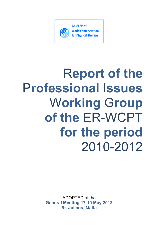

# R**eport of the** P**rofessional** I**ssues** W**orking** G**roup of the** ER-WCPT **for the period** 2010-2012

ADOPTED at the **General Meeting 17-19 May 2012 St. Julians, Malta**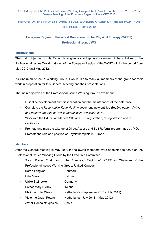# **REPORT OF THE PROFESSIONAL ISSUES WORKING GROUP OF THE ER-WCPT FOR THE PERIOD 2010-2012**

## **European Region of the World Confederation for Physical Therapy (WCPT) Professional Issues WG**

### **Introduction:**

The main objective of this Report is to give a short general overview of the activities of the Professional Issues Working Group of the European Region of the WCPT within the period from May 2010 until May 2012.

As Chairman of the PI Working Group, I would like to thank all members of the group for their work in preparation for this General Meeting and their presentations.

The main objectives of the Professional Issues Working Group have been:

- Guideline development and dissemination and the maintenance of the data base
- Complete the *Keep Active Keep Healthy* document, now entitled *Briefing paper –Active and healthy, the role of Physiotherapists in Physical Activity*
- Work with the Education Matters WG on CPD, registration, re-registration and recertification
- Promote and map the take up of Direct Access and Self Referral programmes by MOs
- Promote the role and position of Physiotherapists in Europe

#### **Members**

After the General Meeting in May 2010 the following members were appointed to serve on the Professional Issues Working Group by the Executive Committee.

- Sarah Bazin, Chairman of the European Region of WCPT as Chairman of the Professional Issues Working Group, United Kingdom
- Karen Langvad Denmark
- Hille Maas **Estonia**
- Ulrike Steinecke Germany
- Esther-Mary D'Arcy Ireland
- Philip van der Wees Netherlands (September 2010 July 2011)
- Victorine Graaf-Peters Netherlands (July 2011 May 2012)
- Javier Gonzalez Iglesias Spain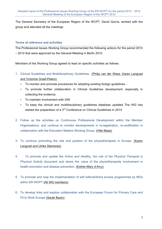The General Secretary of the European Region of the WCPT, David Gorría, worked with the group and attended all the meetings.

## **Terms of reference and activities**

The Professional Issues Working Group recommended the following actions for the period 2010 – 2012 that were approved by the General Meeting in Berlin 2010.

Members of the Working Group agreed to lead on specific activities as follows:

- 1. Clinical Guidelines and Multidisciplinary Guidelines: (Philip van der Wees. Karen Langvad and Victorine Graaf-Peters)
	- To monitor and promote procedures for adopting existing foreign guidelines –
	- To promote further collaboration in Clinical Guidelines development, especially in collecting the evidence.
	- To maintain involvement with GIN
	- To keep the clinical and multidisciplinary guidelines database updated The WG has started the preparation of a 3<sup>rd</sup> Conference on Clinical Guidelines in 2014
- 2. Follow up the activities on Continuous Professional Development within the Member Organisations, and continue to monitor developments in re-registration, re-certification in collaboration with the Education Matters Working Group. (Hille Maas)
- 3. To continue promoting the role and position of the physiotherapists in Europe. (Karen Langvad and Ulrike Steinecke)
- 4. To promote and update the *Active and Healthy, the role of the Physical Therapist in Physical Activity* document and stress the value of the physiotherapists involvement in health promotion and disease prevention. (Esther-Mary d'Arcy)
- 5. To promote and map the implementation of self referral/direct access programmes by MOs within ER-WCPT (All WG members)
- 6. To develop links and explore collaboration with the European Forum for Primary Care and Fit to Work Europe (Sarah Bazin)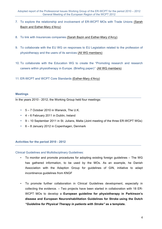- 7. To explore the relationship and involvement of ER-WCPT MOs with Trade Unions (Sarah Bazin and Esther-Mary d'Arcy)
- 8. To link with Insurances companies (Sarah Bazin and Esther-Mary d'Arcy)
- 9. To collaborate with the EU WG on responses to EU Legislation related to the profession of physiotherapy and the users of its services (All WG members)
- 10. To collaborate with the Education WG to create the "Promoting research and research careers within physiotherapy in Europe. (Briefing paper)*"* (All WG members)
- 11. ER-WCPT and WCPT Core Standards (Esther-Mary d'Arcy)

#### **Meetings**

In the years 2010 - 2012, the Working Group held four meetings:

- 5 7 October 2010 in Warwick, The U.K.
- 4 6 February 2011 in Dublin, Ireland
- 9 10 September 2011 in St. Julians, Malta (Joint meeting of the three ER-WCPT WGs)
- 6 8 January 2012 in Copenhagen, Denmark

#### **Activities for the period 2010 - 2012**

Clinical Guidelines and Multidisciplinary Guidelines:

- To monitor and promote procedures for adopting existing foreign guidelines The WG has gathered information, to be used by the MOs. As an example, he Danish Association with the Adaption Group for guidelines of GIN, initiative to adapt incontinence guidelines from KNGF
- To promote further collaboration in Clinical Guidelines development, especially in collecting the evidence. – Two projects have been started in collaboration with 18 ER-WCPT MOs to develop a **European guideline for physiotherapy in Parkinson's disease and European Neurorehabilitation Guidelines for Stroke using the Dutch**  *"Guideline for Physical Therapy in patients with Stroke"* **as a template.**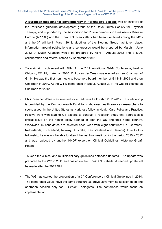**A European guideline for physiotherapy in Parkinson's disease** was an initiative of the Parkinson guideline development group of the Royal Dutch Society for Physical Therapy, and supported by the Association for Physiotherapists in Parkinson's Disease Europe (APPDE) and the ER-WCPT. Newsletters had been circulated among the MOs and the 3<sup>rd</sup> will be in March 2012. Meetings of the Steering Group had taken place. Information around publications and congresses would be prepared by March – June 2012. A Dutch Adaption would be prepared by April – August 2012 and a MDS collaboration and referral criteria by September 2012

- To maintain involvement with GIN: At the  $7<sup>th</sup>$  International G-I-N Conference, held in Chicago, EE.UU, in August 2010. Philip van der Wees was elected as new Chairman of G-I-N. He was the first non medic to become a board member of G-I-N in 2009 and then Chairman in 2010. At the G-I-N conference in Seoul, August 2011 he was re-elected as Chairman for 2012.
- Philip Van der Wees was selected for a Harkness Fellowship 2011-2012. This fellowship is provided by the Commonwealth Fund for mid-career health services researchers to spend a year in the United States as Harkness fellow in Health Care Policy and Practice. Fellows work with leading US experts to conduct a research study that addresses a critical issue on the health policy agenda in both the US and their home country. Worldwide 14 candidates are selected each year from eight countries: UK, Germany, Netherlands, Switzerland, Norway, Australia, New Zealand and Canada). Due to this fellowship, he was not be able to attend the last two meetings for the period 2010 – 2012 and was replaced by another KNGF expert on Clinical Guidelines, Victorine Graaf-Peters.
- To keep the clinical and multidisciplinary guidelines database updated An update was prepared by the WG in 2011 and posted on the ER-WCPT website. A second update will be made after the 2012 GM.
- The WG has started the preparation of a  $3<sup>rd</sup>$  Conference on Clinical Guidelines in 2014. The conference would have the same structure as previously: morning session open and afternoon session only for ER-WCPT delegates. The conference would focus on implementation.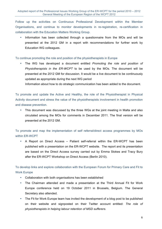Follow up the activities on Continuous Professional Development within the Member Organisations, and continue to monitor developments in re-registration, re-certification in collaboration with the Education Matters Working Group.

• Information has been collected through a questionnaire from the MOs and will be presented at the 2012 GM in a report with recommendations for further work by Education WG colleagues.

#### To continue promoting the role and position of the physiotherapists in Europe

• The WG has developed a document entitled *Promoting the role and position of Physiotherapists in the ER-WCPT* to be used by the MOs. The document will be presented at the 2012 GM for discussion. It would be a live document to be continuously updated as appropriate during the next WG period

Information about how to do strategic communication has been added to the document.

To promote and update the Active and Healthy, the role of the Physiotherapist in Physical Activity document and stress the value of the physiotherapists involvement in health promotion and disease prevention.

• This document was discussed by the three WGs at the joint meeting in Malta and also circulated among the MOs for comments in December 2011. The final version will be presented at the 2012 GM.

To promote and map the implementation of self referral/direct access programmes by MOs within ER-WCPT

• A Report on Direct Access – Patient self-referral within the ER-WCPT has been published with a presentation on the ER-WCPT website. The report and its presentation are based on the Direct Access survey carried out by Emma Stokes and Tracy Bury after the ER-WCPT Workshop on Direct Access (Berlin 2010).

To develop links and explore collaboration with the European Forum for Primary Care and Fit to Work Europe

- Collaboration with both organisations has been established
- The Chairman attended and made a presentation at the Third Annual Fit for Work Europe conference held on 19 October 2011 in Brussels, Belgium. The General Secretary also attended.
- The Fit for Work Europe team has invited the development of a blog post to be published on their website and signposted on their Twitter account entitled: *The role of physiotherapists in helping labour retention of MSD sufferers.*